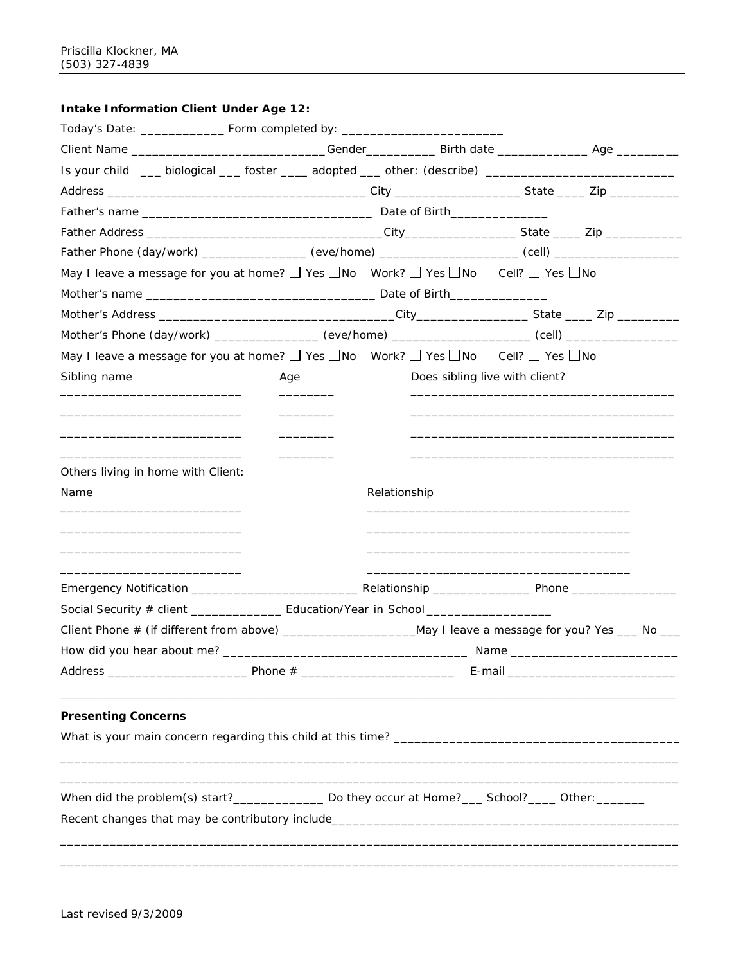## **Intake Information Client Under Age 12:**

| Today's Date: _________________________________Form completed by: __________________________________                   |                                   |              |                                                                                                                       |  |
|------------------------------------------------------------------------------------------------------------------------|-----------------------------------|--------------|-----------------------------------------------------------------------------------------------------------------------|--|
| Client Name ________________________________Gender______________Birth date ___________________________________         |                                   |              |                                                                                                                       |  |
| Is your child ___ biological ___ foster ____ adopted ___ other: (describe) ________________________                    |                                   |              |                                                                                                                       |  |
|                                                                                                                        |                                   |              |                                                                                                                       |  |
|                                                                                                                        |                                   |              |                                                                                                                       |  |
|                                                                                                                        |                                   |              |                                                                                                                       |  |
| Father Phone (day/work) ________________ (eve/home) ___________________ (cell) ____________________                    |                                   |              |                                                                                                                       |  |
| May I leave a message for you at home? $\Box$ Yes $\Box$ No Work? $\Box$ Yes $\Box$ No Cell? $\Box$ Yes $\Box$ No      |                                   |              |                                                                                                                       |  |
|                                                                                                                        |                                   |              |                                                                                                                       |  |
|                                                                                                                        |                                   |              |                                                                                                                       |  |
| Mother's Phone (day/work) _______________ (eve/home) ___________________ (cell) ___________________                    |                                   |              |                                                                                                                       |  |
| May I leave a message for you at home? $\Box$ Yes $\Box$ No Work? $\Box$ Yes $\Box$ No Cell? $\Box$ Yes $\Box$ No      |                                   |              |                                                                                                                       |  |
| Sibling name                                                                                                           | Age                               |              | Does sibling live with client?                                                                                        |  |
|                                                                                                                        |                                   |              |                                                                                                                       |  |
| <u> 1989 - Johann John Stone, mars et al. 1989 - John Stone, mars et al. 1989 - John Stone, mars et al. 1989 - Joh</u> |                                   |              |                                                                                                                       |  |
|                                                                                                                        |                                   |              |                                                                                                                       |  |
| the control of the control of the control of the control of the control of the control of                              | <u>and the state of the state</u> |              |                                                                                                                       |  |
| Others living in home with Client:<br>Name                                                                             |                                   | Relationship |                                                                                                                       |  |
|                                                                                                                        |                                   |              |                                                                                                                       |  |
|                                                                                                                        |                                   |              |                                                                                                                       |  |
| the control of the control of the control of the control of the control of the control of                              |                                   |              |                                                                                                                       |  |
|                                                                                                                        |                                   |              | <u> 1989 - Johann John Stoff, deutscher Stoffen und der Stoffen und der Stoffen und der Stoffen und der Stoffen u</u> |  |
|                                                                                                                        |                                   |              |                                                                                                                       |  |
| Social Security # client __________________ Education/Year in School ___________________                               |                                   |              |                                                                                                                       |  |
| Client Phone # (if different from above) ______________________May I leave a message for you? Yes ___ No ___           |                                   |              |                                                                                                                       |  |
|                                                                                                                        |                                   |              |                                                                                                                       |  |
|                                                                                                                        |                                   |              |                                                                                                                       |  |
|                                                                                                                        |                                   |              |                                                                                                                       |  |
| <b>Presenting Concerns</b>                                                                                             |                                   |              |                                                                                                                       |  |
|                                                                                                                        |                                   |              |                                                                                                                       |  |
|                                                                                                                        |                                   |              |                                                                                                                       |  |
|                                                                                                                        |                                   |              |                                                                                                                       |  |
| When did the problem(s) start?_________________ Do they occur at Home?____ School?_____ Other:_________                |                                   |              |                                                                                                                       |  |
|                                                                                                                        |                                   |              |                                                                                                                       |  |
|                                                                                                                        |                                   |              |                                                                                                                       |  |
|                                                                                                                        |                                   |              |                                                                                                                       |  |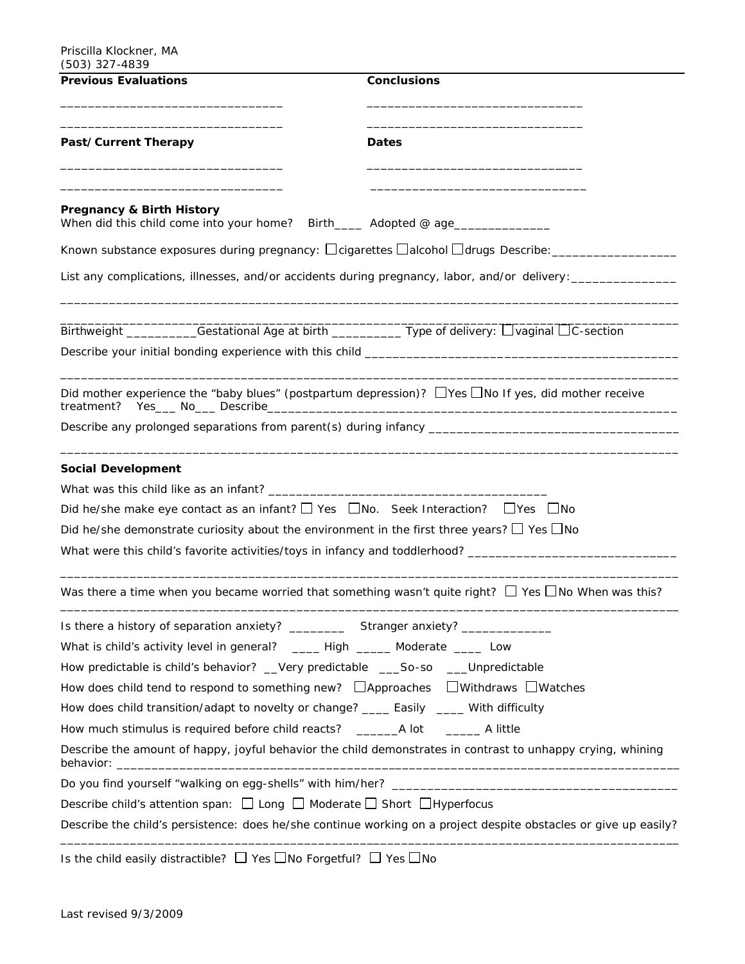| <b>Conclusions</b><br><b>Previous Evaluations</b>                                                                        |                                                                                                                  |
|--------------------------------------------------------------------------------------------------------------------------|------------------------------------------------------------------------------------------------------------------|
| Past/Current Therapy                                                                                                     | <b>Dates</b>                                                                                                     |
| <b>Pregnancy &amp; Birth History</b><br>When did this child come into your home? Birth_____ Adopted @ age_______________ |                                                                                                                  |
|                                                                                                                          | Known substance exposures during pregnancy: □ cigarettes □ alcohol □ drugs Describe: _______________             |
|                                                                                                                          | List any complications, illnesses, and/or accidents during pregnancy, labor, and/or delivery: _______________    |
|                                                                                                                          | Birthweight ___________Gestational Age at birth ____________Type of delivery: Uvaginal OC-section                |
|                                                                                                                          |                                                                                                                  |
|                                                                                                                          | Did mother experience the "baby blues" (postpartum depression)? $\Box$ Yes $\Box$ No If yes, did mother receive  |
|                                                                                                                          | Describe any prolonged separations from parent(s) during infancy ___________________________________             |
| <b>Social Development</b>                                                                                                |                                                                                                                  |
|                                                                                                                          |                                                                                                                  |
| Did he/she make eye contact as an infant? $\Box$ Yes $\Box$ No. Seek Interaction? $\Box$ Yes $\Box$ No                   |                                                                                                                  |
| Did he/she demonstrate curiosity about the environment in the first three years? $\Box$ Yes $\Box$ No                    |                                                                                                                  |
|                                                                                                                          | What were this child's favorite activities/toys in infancy and toddlerhood? __________________________________   |
|                                                                                                                          | Was there a time when you became worried that something wasn't quite right? $\Box$ Yes $\Box$ No When was this?  |
|                                                                                                                          |                                                                                                                  |
| What is child's activity level in general? _______ High _______ Moderate ______ Low                                      |                                                                                                                  |
| How predictable is child's behavior? __Very predictable ____So-so ____Unpredictable                                      |                                                                                                                  |
| How does child tend to respond to something new? $\Box$ Approaches $\Box$ Withdraws $\Box$ Watches                       |                                                                                                                  |
| How does child transition/adapt to novelty or change? _____ Easily ____ With difficulty                                  |                                                                                                                  |
|                                                                                                                          |                                                                                                                  |
|                                                                                                                          | Describe the amount of happy, joyful behavior the child demonstrates in contrast to unhappy crying, whining      |
|                                                                                                                          |                                                                                                                  |
| Describe child's attention span: $\Box$ Long $\Box$ Moderate $\Box$ Short $\Box$ Hyperfocus                              |                                                                                                                  |
|                                                                                                                          | Describe the child's persistence: does he/she continue working on a project despite obstacles or give up easily? |
| Is the child easily distractible? □ Yes □No Forgetful? □ Yes □No                                                         |                                                                                                                  |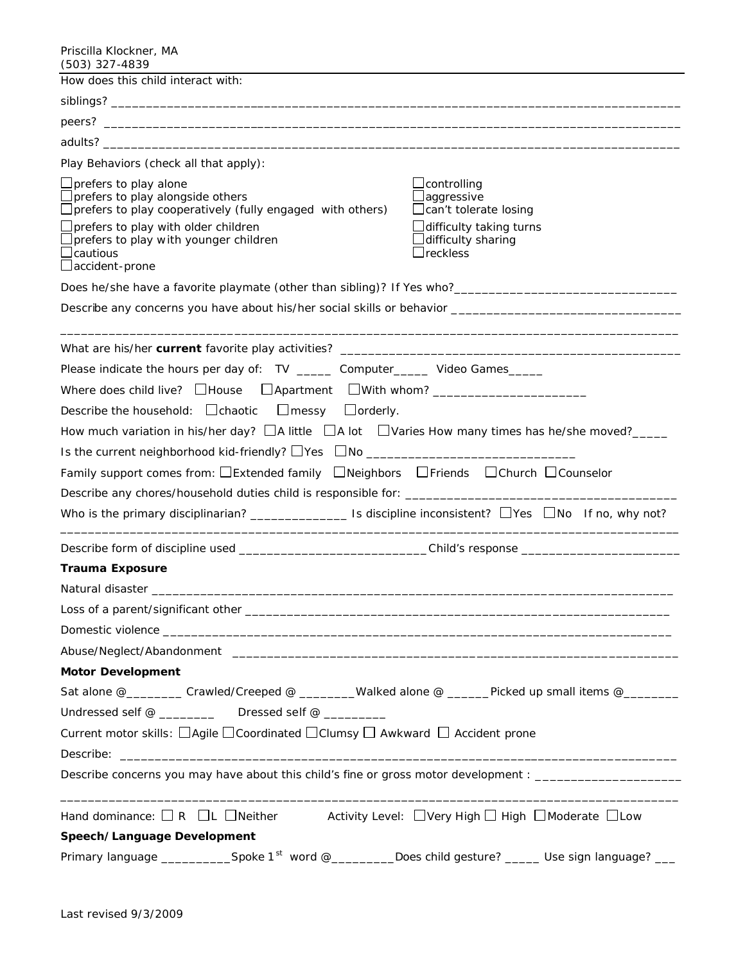Priscilla Klockner, MA (503) 327-4839

| י טטד וגע נטטע)<br>How does this child interact with:                                                                                                                                                                                                                                                                                                                                                                                                  |                                                                                                                                                 |
|--------------------------------------------------------------------------------------------------------------------------------------------------------------------------------------------------------------------------------------------------------------------------------------------------------------------------------------------------------------------------------------------------------------------------------------------------------|-------------------------------------------------------------------------------------------------------------------------------------------------|
|                                                                                                                                                                                                                                                                                                                                                                                                                                                        |                                                                                                                                                 |
|                                                                                                                                                                                                                                                                                                                                                                                                                                                        |                                                                                                                                                 |
|                                                                                                                                                                                                                                                                                                                                                                                                                                                        |                                                                                                                                                 |
| Play Behaviors (check all that apply):                                                                                                                                                                                                                                                                                                                                                                                                                 |                                                                                                                                                 |
| $\Box$ prefers to play alone<br>$\Box$ prefers to play alongside others<br>□ prefers to play cooperatively (fully engaged with others)<br>$\Box$ prefers to play with older children<br>□ prefers to play with younger children<br>$\Box$ cautious<br>$\Box$ accident - prone                                                                                                                                                                          | $\sqcup$ controlling<br>⊿aggressive<br>$\Box$ can't tolerate losing<br>∟difficulty taking turns<br>$\Box$ difficulty sharing<br>$\Box$ reckless |
|                                                                                                                                                                                                                                                                                                                                                                                                                                                        |                                                                                                                                                 |
|                                                                                                                                                                                                                                                                                                                                                                                                                                                        |                                                                                                                                                 |
| Please indicate the hours per day of: TV ______ Computer_____ Video Games_____<br>Describe the household: $\Box$ chaotic $\Box$ messy $\Box$ orderly.<br>How much variation in his/her day? $\Box$ A little $\Box$ A lot $\Box$ Varies How many times has he/she moved?_____<br>Is the current neighborhood kid-friendly? □ Yes □ No ___________________________<br>Family support comes from: □Extended family □Neighbors □Friends □Church □Counselor |                                                                                                                                                 |
| Describe form of discipline used _______________________________Child's response _____________________________                                                                                                                                                                                                                                                                                                                                         |                                                                                                                                                 |
| <b>Trauma Exposure</b>                                                                                                                                                                                                                                                                                                                                                                                                                                 |                                                                                                                                                 |
|                                                                                                                                                                                                                                                                                                                                                                                                                                                        |                                                                                                                                                 |
| Loss of a parent/significant other                                                                                                                                                                                                                                                                                                                                                                                                                     |                                                                                                                                                 |
|                                                                                                                                                                                                                                                                                                                                                                                                                                                        |                                                                                                                                                 |
|                                                                                                                                                                                                                                                                                                                                                                                                                                                        |                                                                                                                                                 |
| <b>Motor Development</b>                                                                                                                                                                                                                                                                                                                                                                                                                               |                                                                                                                                                 |
| Sat alone @___________Crawled/Creeped @ _________Walked alone @ ______Picked up small items @________<br>Undressed self @ _____________ Dressed self @ _________<br>Current motor skills: □Agile □Coordinated □Clumsy □ Awkward □ Accident prone                                                                                                                                                                                                       |                                                                                                                                                 |
| Describe concerns you may have about this child's fine or gross motor development : _______________                                                                                                                                                                                                                                                                                                                                                    |                                                                                                                                                 |
| Hand dominance: $\Box$ R $\Box$ L $\Box$ Neither Activity Level: $\Box$ Very High $\Box$ High $\Box$ Moderate $\Box$ Low<br>Speech/Language Development<br>Primary language ______________Spoke 1 <sup>st</sup> word @__________Does child gesture? ______ Use sign language? ___                                                                                                                                                                      |                                                                                                                                                 |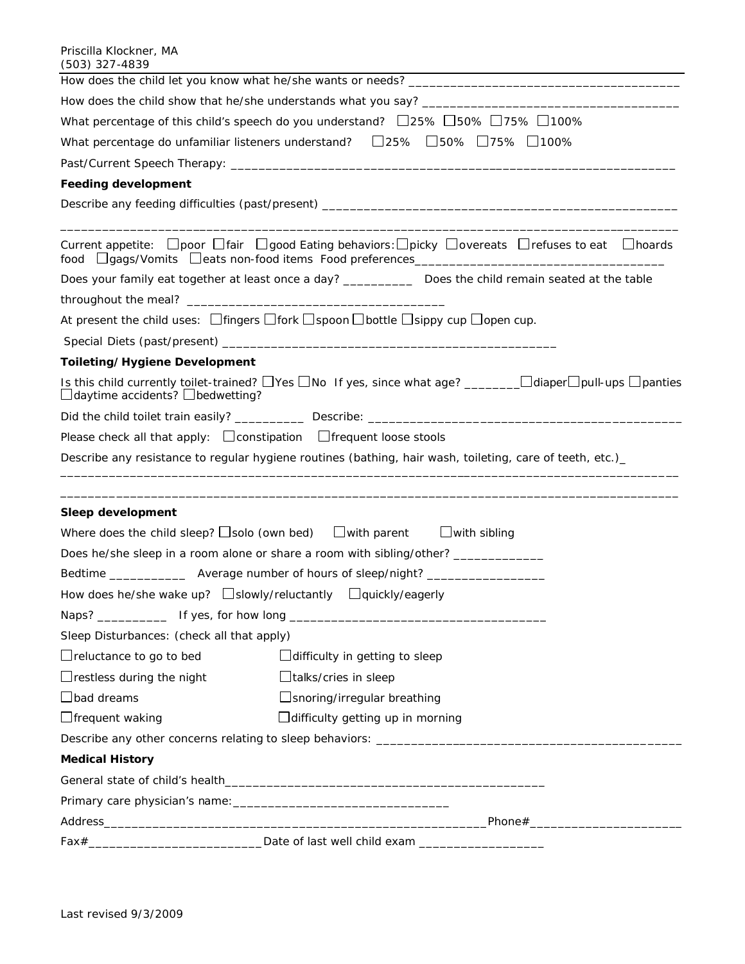| (JUJ) JZ 1 <del>-4</del> 0J7                                                                           |                                                                                                                                          |  |  |  |
|--------------------------------------------------------------------------------------------------------|------------------------------------------------------------------------------------------------------------------------------------------|--|--|--|
|                                                                                                        |                                                                                                                                          |  |  |  |
|                                                                                                        |                                                                                                                                          |  |  |  |
| What percentage of this child's speech do you understand? $\Box$ 25% $\Box$ 50% $\Box$ 75% $\Box$ 100% |                                                                                                                                          |  |  |  |
|                                                                                                        | What percentage do unfamiliar listeners understand?  □25% □50% □75% □100%                                                                |  |  |  |
|                                                                                                        |                                                                                                                                          |  |  |  |
| <b>Feeding development</b>                                                                             |                                                                                                                                          |  |  |  |
|                                                                                                        |                                                                                                                                          |  |  |  |
|                                                                                                        | Current appetite: $\Box$ poor $\Box$ fair $\Box$ good Eating behaviors: $\Box$ picky $\Box$ overeats $\Box$ refuses to eat $\Box$ hoards |  |  |  |
|                                                                                                        | Does your family eat together at least once a day? _____________ Does the child remain seated at the table                               |  |  |  |
|                                                                                                        |                                                                                                                                          |  |  |  |
|                                                                                                        | At present the child uses: $\Box$ fingers $\Box$ fork $\Box$ spoon $\Box$ bottle $\Box$ sippy cup $\Box$ open cup.                       |  |  |  |
|                                                                                                        |                                                                                                                                          |  |  |  |
| Toileting/Hygiene Development                                                                          |                                                                                                                                          |  |  |  |
| $\Box$ daytime accidents? $\Box$ bedwetting?                                                           |                                                                                                                                          |  |  |  |
|                                                                                                        |                                                                                                                                          |  |  |  |
|                                                                                                        | Please check all that apply: $\Box$ constipation $\Box$ frequent loose stools                                                            |  |  |  |
|                                                                                                        | Describe any resistance to regular hygiene routines (bathing, hair wash, toileting, care of teeth, etc.)                                 |  |  |  |
|                                                                                                        |                                                                                                                                          |  |  |  |
| Sleep development                                                                                      |                                                                                                                                          |  |  |  |
|                                                                                                        | Where does the child sleep? $\square$ solo (own bed) $\square$ with parent $\square$ with sibling                                        |  |  |  |
|                                                                                                        | Does he/she sleep in a room alone or share a room with sibling/other? ___________                                                        |  |  |  |
|                                                                                                        | Bedtime ____________________ Average number of hours of sleep/night? __________________                                                  |  |  |  |
|                                                                                                        | How does he/she wake up? $\Box$ slowly/reluctantly $\Box$ quickly/eagerly                                                                |  |  |  |
|                                                                                                        |                                                                                                                                          |  |  |  |
| Sleep Disturbances: (check all that apply)                                                             |                                                                                                                                          |  |  |  |
| $\Box$ reluctance to go to bed<br>$\Box$ difficulty in getting to sleep                                |                                                                                                                                          |  |  |  |
| $\Box$ restless during the night                                                                       | $\Box$ talks/cries in sleep                                                                                                              |  |  |  |
| $\Box$ bad dreams                                                                                      | □ snoring/irregular breathing                                                                                                            |  |  |  |
| $\Box$ frequent waking                                                                                 | $\Box$ difficulty getting up in morning                                                                                                  |  |  |  |
|                                                                                                        | Describe any other concerns relating to sleep behaviors: ________________________                                                        |  |  |  |
| <b>Medical History</b>                                                                                 |                                                                                                                                          |  |  |  |
|                                                                                                        |                                                                                                                                          |  |  |  |
|                                                                                                        |                                                                                                                                          |  |  |  |
|                                                                                                        |                                                                                                                                          |  |  |  |
|                                                                                                        |                                                                                                                                          |  |  |  |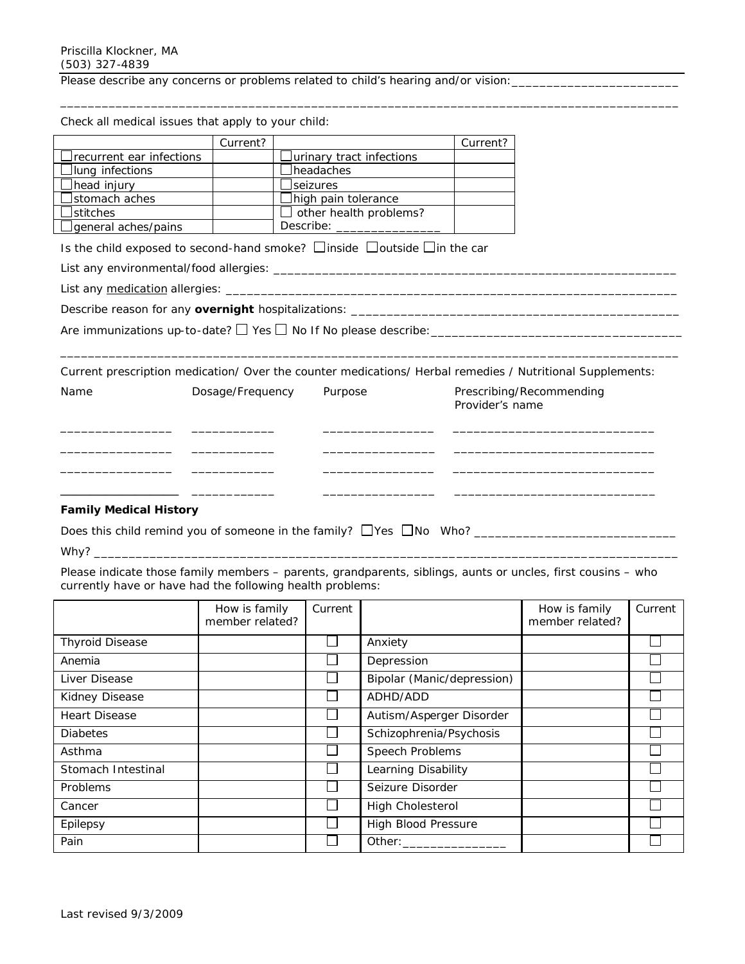Check all medical issues that apply to your child:

Please describe any concerns or problems related to child's hearing and/or vision:

|                                                                                                           | Current?         |                               | Current?                                    |  |
|-----------------------------------------------------------------------------------------------------------|------------------|-------------------------------|---------------------------------------------|--|
| recurrent ear infections                                                                                  |                  |                               |                                             |  |
| lung infections                                                                                           |                  | <b>I</b> headaches            |                                             |  |
| head injury                                                                                               |                  | $\Box$ seizures               |                                             |  |
| stomach aches                                                                                             |                  | $\Box$ high pain tolerance    |                                             |  |
| <b>stitches</b>                                                                                           |                  | $\Box$ other health problems? |                                             |  |
| general aches/pains                                                                                       |                  | Describe: ___________________ |                                             |  |
| Is the child exposed to second-hand smoke? $\Box$ inside $\Box$ outside $\Box$ in the car                 |                  |                               |                                             |  |
|                                                                                                           |                  |                               |                                             |  |
|                                                                                                           |                  |                               |                                             |  |
|                                                                                                           |                  |                               |                                             |  |
|                                                                                                           |                  |                               |                                             |  |
|                                                                                                           |                  |                               |                                             |  |
| Current prescription medication/ Over the counter medications/ Herbal remedies / Nutritional Supplements: |                  |                               |                                             |  |
| Name                                                                                                      | Dosage/Frequency | Purpose                       | Prescribing/Recommending<br>Provider's name |  |
|                                                                                                           |                  |                               |                                             |  |
|                                                                                                           |                  |                               |                                             |  |
|                                                                                                           |                  |                               |                                             |  |
|                                                                                                           |                  |                               |                                             |  |
| <b>Family Medical History</b>                                                                             |                  |                               |                                             |  |
|                                                                                                           |                  |                               |                                             |  |

\_\_\_\_\_\_\_\_\_\_\_\_\_\_\_\_\_\_\_\_\_\_\_\_\_\_\_\_\_\_\_\_\_\_\_\_\_\_\_\_\_\_\_\_\_\_\_\_\_\_\_\_\_\_\_\_\_\_\_\_\_\_\_\_\_\_\_\_\_\_\_\_\_\_\_\_\_\_\_\_\_\_\_\_\_\_\_\_\_

Why? \_\_\_\_\_\_\_\_\_\_\_\_\_\_\_\_\_\_\_\_\_\_\_\_\_\_\_\_\_\_\_\_\_\_\_\_\_\_\_\_\_\_\_\_\_\_\_\_\_\_\_\_\_\_\_\_\_\_\_\_\_\_\_\_\_\_\_\_\_\_\_\_\_\_\_\_\_\_\_\_\_\_\_\_

*Please indicate those family members – parents, grandparents, siblings, aunts or uncles, first cousins – who currently have or have had the following health problems:*

|                        | How is family<br>member related? | Current |                            | How is family<br>member related? | Current |
|------------------------|----------------------------------|---------|----------------------------|----------------------------------|---------|
| <b>Thyroid Disease</b> |                                  |         | Anxiety                    |                                  |         |
| Anemia                 |                                  |         | Depression                 |                                  |         |
| Liver Disease          |                                  |         | Bipolar (Manic/depression) |                                  |         |
| Kidney Disease         |                                  |         | ADHD/ADD                   |                                  |         |
| <b>Heart Disease</b>   |                                  |         | Autism/Asperger Disorder   |                                  |         |
| <b>Diabetes</b>        |                                  |         | Schizophrenia/Psychosis    |                                  |         |
| Asthma                 |                                  |         | Speech Problems            |                                  |         |
| Stomach Intestinal     |                                  |         | Learning Disability        |                                  |         |
| Problems               |                                  |         | Seizure Disorder           |                                  |         |
| Cancer                 |                                  |         | <b>High Cholesterol</b>    |                                  |         |
| Epilepsy               |                                  |         | <b>High Blood Pressure</b> |                                  |         |
| Pain                   |                                  |         | Other:                     |                                  |         |